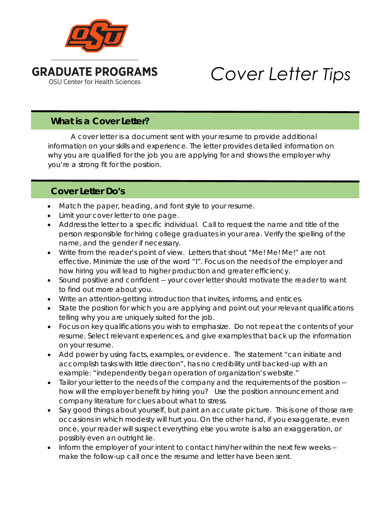

## *Cover Letter Tips*

## **What is a Cover Letter?**

A cover letter is a document sent with your resume to provide additional information on your skills and experience. The letter provides detailed information on why you are qualified for the job you are applying for and shows the employer why you're a strong fit for the position.

## **Cover Letter Do's**

- Match the paper, heading, and font style to your resume.
- Limit your cover letter to one page.
- Address the letter to a specific individual. Call to request the name and title of the person responsible for hiring college graduates in your area. Verify the spelling of the name, and the gender if necessary.
- Write from the reader's point of view. Letters that shout "Me! Me! Me!" are not effective. Minimize the use of the word "I". Focus on the needs of the employer and how hiring you will lead to higher production and greater efficiency.
- Sound positive and confident -- your cover letter should motivate the reader to want to find out more about you.
- Write an attention-getting introduction that invites, informs, and entices.
- State the position for which you are applying and point out your relevant qualifications telling why you are uniquely suited for the job.
- Focus on key qualifications you wish to emphasize. Do not repeat the contents of your resume. Select relevant experiences, and give examples that back up the information on your resume.
- Add power by using facts, examples, or evidence. The statement "can initiate and accomplish tasks with little direction", has no credibility until backed-up with an example: "independently began operation of organization's website."
- Tailor your letter to the needs of the company and the requirements of the position -how will the employer benefit by hiring you? Use the position announcement and company literature for clues about what to stress.
- Say good things about yourself, but paint an accurate picture. This is one of those rare occasions in which modesty will hurt you. On the other hand, if you exaggerate, even once, your reader will suspect everything else you wrote is also an exaggeration, or possibly even an outright lie.
- Inform the employer of your intent to contact him/her within the next few weeks make the follow-up call once the resume and letter have been sent.